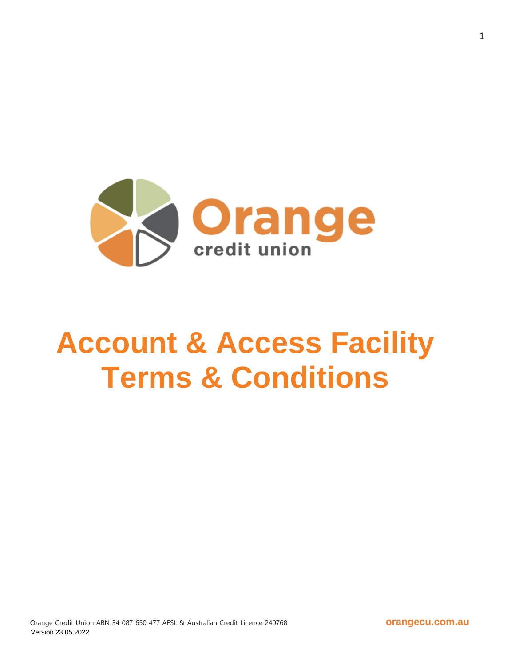

# **Account & Access Facility Terms & Conditions**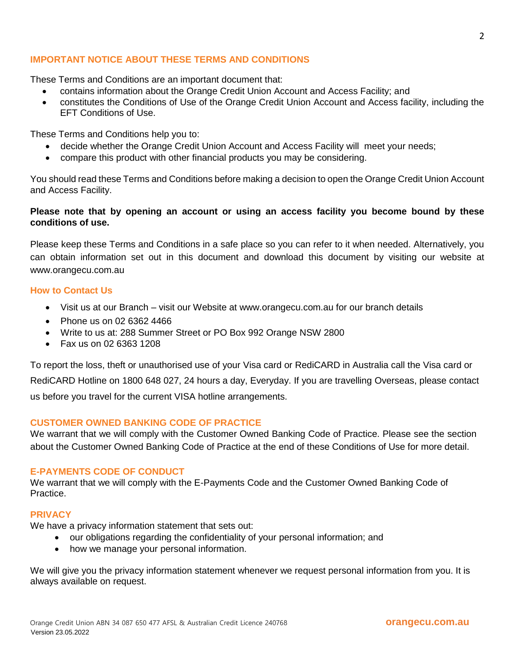## **IMPORTANT NOTICE ABOUT THESE TERMS AND CONDITIONS**

These Terms and Conditions are an important document that:

- contains information about the Orange Credit Union Account and Access Facility; and
- constitutes the Conditions of Use of the Orange Credit Union Account and Access facility, including the EFT Conditions of Use.

These Terms and Conditions help you to:

- decide whether the Orange Credit Union Account and Access Facility will meet your needs;
- compare this product with other financial products you may be considering.

You should read these Terms and Conditions before making a decision to open the Orange Credit Union Account and Access Facility.

## **Please note that by opening an account or using an access facility you become bound by these conditions of use.**

Please keep these Terms and Conditions in a safe place so you can refer to it when needed. Alternatively, you can obtain information set out in this document and download this document by visiting our website at www.orangecu.com.au

#### **How to Contact Us**

- Visit us at our Branch visit our Website at www.orangecu.com.au for our branch details
- Phone us on 02 6362 4466
- Write to us at: 288 Summer Street or PO Box 992 Orange NSW 2800
- Fax us on 02 6363 1208

To report the loss, theft or unauthorised use of your Visa card or RediCARD in Australia call the Visa card or RediCARD Hotline on 1800 648 027, 24 hours a day, Everyday. If you are travelling Overseas, please contact us before you travel for the current VISA hotline arrangements.

#### **CUSTOMER OWNED BANKING CODE OF PRACTICE**

We warrant that we will comply with the Customer Owned Banking Code of Practice. Please see the section about the Customer Owned Banking Code of Practice at the end of these Conditions of Use for more detail.

#### **E-PAYMENTS CODE OF CONDUCT**

We warrant that we will comply with the E-Payments Code and the Customer Owned Banking Code of Practice.

## **PRIVACY**

We have a privacy information statement that sets out:

- our obligations regarding the confidentiality of your personal information; and
- how we manage your personal information.

We will give you the privacy information statement whenever we request personal information from you. It is always available on request.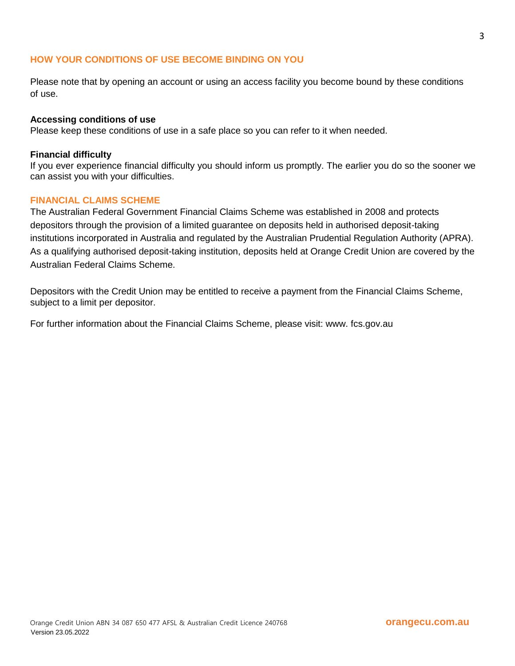#### **HOW YOUR CONDITIONS OF USE BECOME BINDING ON YOU**

Please note that by opening an account or using an access facility you become bound by these conditions of use.

#### **Accessing conditions of use**

Please keep these conditions of use in a safe place so you can refer to it when needed.

#### **Financial difficulty**

If you ever experience financial difficulty you should inform us promptly. The earlier you do so the sooner we can assist you with your difficulties.

## **FINANCIAL CLAIMS SCHEME**

The Australian Federal Government Financial Claims Scheme was established in 2008 and protects depositors through the provision of a limited guarantee on deposits held in authorised deposit-taking institutions incorporated in Australia and regulated by the Australian Prudential Regulation Authority (APRA). As a qualifying authorised deposit-taking institution, deposits held at Orange Credit Union are covered by the Australian Federal Claims Scheme.

Depositors with the Credit Union may be entitled to receive a payment from the Financial Claims Scheme, subject to a limit per depositor.

For further information about the Financial Claims Scheme, please visit: www. fcs.gov.au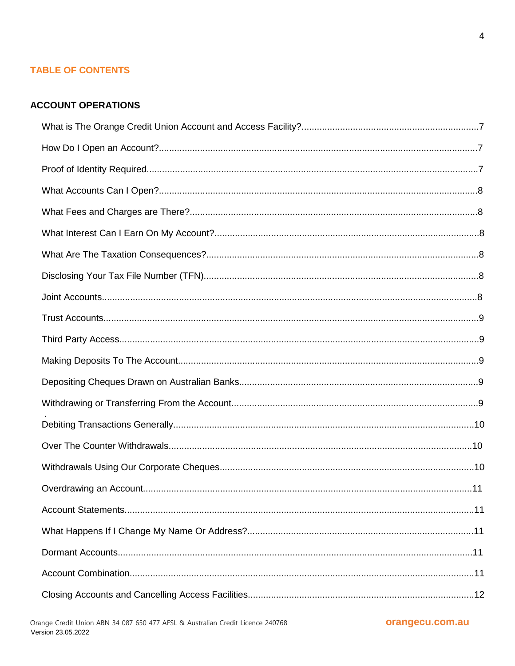# **TABLE OF CONTENTS**

#### **ACCOUNT OPERATIONS**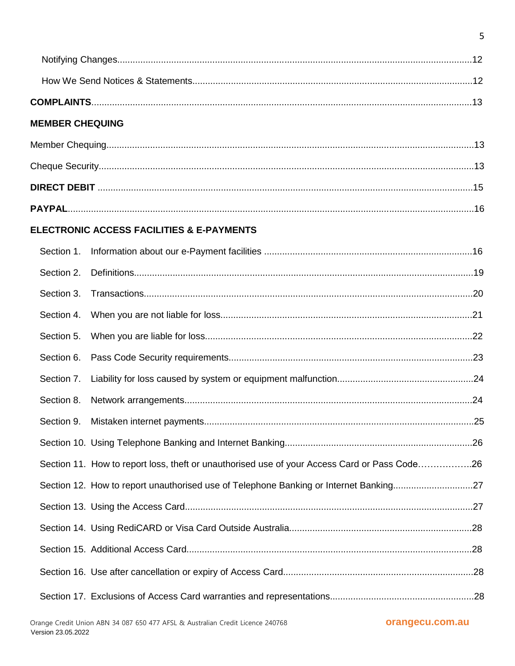| <b>MEMBER CHEQUING</b> |                                                                                              |  |
|------------------------|----------------------------------------------------------------------------------------------|--|
|                        |                                                                                              |  |
|                        |                                                                                              |  |
|                        |                                                                                              |  |
|                        |                                                                                              |  |
|                        | ELECTRONIC ACCESS FACILITIES & E-PAYMENTS                                                    |  |
| Section 1.             |                                                                                              |  |
| Section 2.             |                                                                                              |  |
| Section 3.             |                                                                                              |  |
| Section 4.             |                                                                                              |  |
| Section 5.             |                                                                                              |  |
| Section 6.             |                                                                                              |  |
| Section 7.             |                                                                                              |  |
| Section 8.             |                                                                                              |  |
| Section 9.             |                                                                                              |  |
|                        |                                                                                              |  |
|                        | Section 11. How to report loss, theft or unauthorised use of your Access Card or Pass Code26 |  |
|                        | Section 12. How to report unauthorised use of Telephone Banking or Internet Banking27        |  |
|                        |                                                                                              |  |
|                        |                                                                                              |  |
|                        |                                                                                              |  |
|                        |                                                                                              |  |
|                        |                                                                                              |  |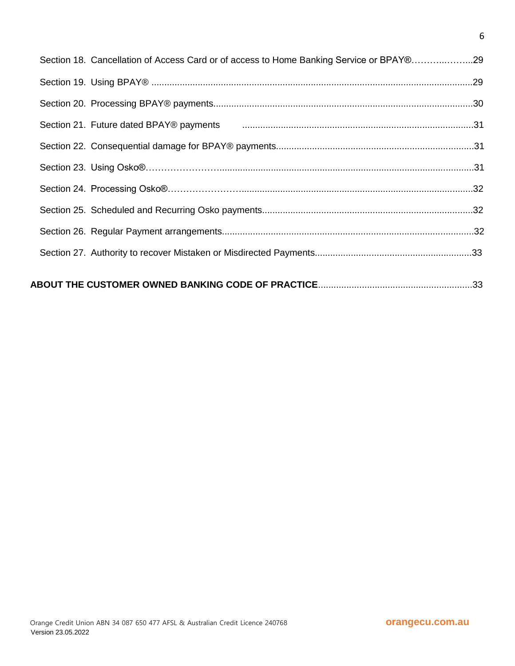|  | Section 18. Cancellation of Access Card or of access to Home Banking Service or BPAY®29 |  |
|--|-----------------------------------------------------------------------------------------|--|
|  |                                                                                         |  |
|  |                                                                                         |  |
|  |                                                                                         |  |
|  |                                                                                         |  |
|  |                                                                                         |  |
|  |                                                                                         |  |
|  |                                                                                         |  |
|  |                                                                                         |  |
|  |                                                                                         |  |
|  |                                                                                         |  |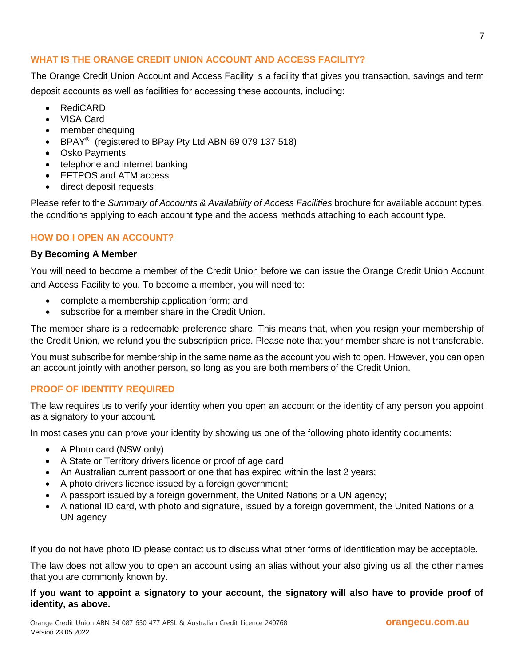# **WHAT IS THE ORANGE CREDIT UNION ACCOUNT AND ACCESS FACILITY?**

The Orange Credit Union Account and Access Facility is a facility that gives you transaction, savings and term deposit accounts as well as facilities for accessing these accounts, including:

- RediCARD
- VISA Card
- member chequing
- BPAY<sup>®</sup> (registered to BPay Pty Ltd ABN 69 079 137 518)
- Osko Payments
- telephone and internet banking
- EFTPOS and ATM access
- direct deposit requests

Please refer to the *Summary of Accounts & Availability of Access Facilities* brochure for available account types, the conditions applying to each account type and the access methods attaching to each account type.

## **HOW DO I OPEN AN ACCOUNT?**

#### **By Becoming A Member**

You will need to become a member of the Credit Union before we can issue the Orange Credit Union Account and Access Facility to you. To become a member, you will need to:

- complete a membership application form; and
- subscribe for a member share in the Credit Union.

The member share is a redeemable preference share. This means that, when you resign your membership of the Credit Union, we refund you the subscription price. Please note that your member share is not transferable.

You must subscribe for membership in the same name as the account you wish to open. However, you can open an account jointly with another person, so long as you are both members of the Credit Union.

## **PROOF OF IDENTITY REQUIRED**

The law requires us to verify your identity when you open an account or the identity of any person you appoint as a signatory to your account.

In most cases you can prove your identity by showing us one of the following photo identity documents:

- A Photo card (NSW only)
- A State or Territory drivers licence or proof of age card
- An Australian current passport or one that has expired within the last 2 years;
- A photo drivers licence issued by a foreign government;
- A passport issued by a foreign government, the United Nations or a UN agency;
- A national ID card, with photo and signature, issued by a foreign government, the United Nations or a UN agency

If you do not have photo ID please contact us to discuss what other forms of identification may be acceptable.

The law does not allow you to open an account using an alias without your also giving us all the other names that you are commonly known by.

#### **If you want to appoint a signatory to your account, the signatory will also have to provide proof of identity, as above.**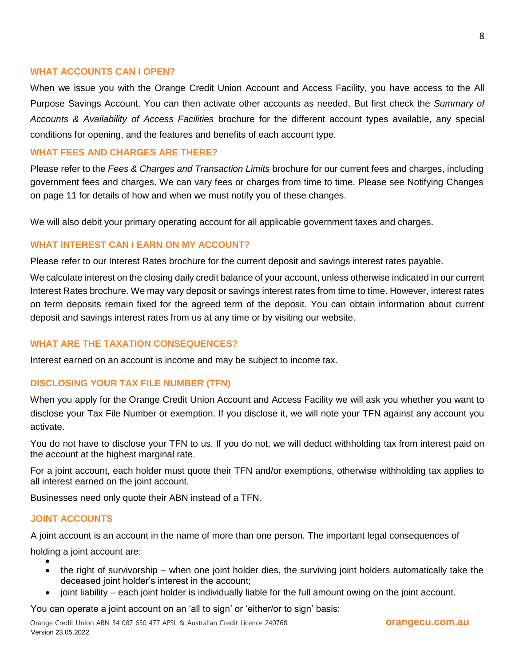#### **WHAT ACCOUNTS CAN I OPEN?**

When we issue you with the Orange Credit Union Account and Access Facility, you have access to the All Purpose Savings Account. You can then activate other accounts as needed. But first check the *Summary of Accounts & Availability of Access Facilities* brochure for the different account types available, any special conditions for opening, and the features and benefits of each account type.

#### **WHAT FEES AND CHARGES ARE THERE?**

Please refer to the *Fees & Charges and Transaction Limits* brochure for our current fees and charges, including government fees and charges. We can vary fees or charges from time to time. Please see Notifying Changes on page 11 for details of how and when we must notify you of these changes.

We will also debit your primary operating account for all applicable government taxes and charges.

#### **WHAT INTEREST CAN I EARN ON MY ACCOUNT?**

Please refer to our Interest Rates brochure for the current deposit and savings interest rates payable.

We calculate interest on the closing daily credit balance of your account, unless otherwise indicated in our current Interest Rates brochure. We may vary deposit or savings interest rates from time to time. However, interest rates on term deposits remain fixed for the agreed term of the deposit. You can obtain information about current deposit and savings interest rates from us at any time or by visiting our website.

## **WHAT ARE THE TAXATION CONSEQUENCES?**

Interest earned on an account is income and may be subject to income tax.

#### **DISCLOSING YOUR TAX FILE NUMBER (TFN)**

When you apply for the Orange Credit Union Account and Access Facility we will ask you whether you want to disclose your Tax File Number or exemption. If you disclose it, we will note your TFN against any account you activate.

You do not have to disclose your TFN to us. If you do not, we will deduct withholding tax from interest paid on the account at the highest marginal rate.

For a joint account, each holder must quote their TFN and/or exemptions, otherwise withholding tax applies to all interest earned on the joint account.

Businesses need only quote their ABN instead of a TFN.

## **JOINT ACCOUNTS**

A joint account is an account in the name of more than one person. The important legal consequences of

holding a joint account are:  $\bullet$ 

- the right of survivorship when one joint holder dies, the surviving joint holders automatically take the deceased joint holder's interest in the account;
- joint liability each joint holder is individually liable for the full amount owing on the joint account.

You can operate a joint account on an 'all to sign' or 'either/or to sign' basis: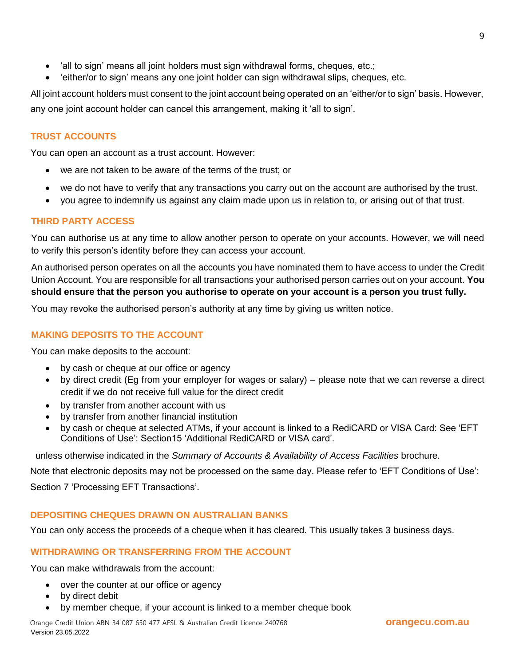- 'all to sign' means all joint holders must sign withdrawal forms, cheques, etc.;
- 'either/or to sign' means any one joint holder can sign withdrawal slips, cheques, etc.

All joint account holders must consent to the joint account being operated on an 'either/or to sign' basis. However, any one joint account holder can cancel this arrangement, making it 'all to sign'.

# **TRUST ACCOUNTS**

You can open an account as a trust account. However:

- we are not taken to be aware of the terms of the trust; or
- we do not have to verify that any transactions you carry out on the account are authorised by the trust.
- you agree to indemnify us against any claim made upon us in relation to, or arising out of that trust.

## **THIRD PARTY ACCESS**

You can authorise us at any time to allow another person to operate on your accounts. However, we will need to verify this person's identity before they can access your account.

An authorised person operates on all the accounts you have nominated them to have access to under the Credit Union Account. You are responsible for all transactions your authorised person carries out on your account. **You should ensure that the person you authorise to operate on your account is a person you trust fully.**

You may revoke the authorised person's authority at any time by giving us written notice.

# **MAKING DEPOSITS TO THE ACCOUNT**

You can make deposits to the account:

- by cash or cheque at our office or agency
- by direct credit (Eg from your employer for wages or salary) please note that we can reverse a direct credit if we do not receive full value for the direct credit
- by transfer from another account with us
- by transfer from another financial institution
- by cash or cheque at selected ATMs, if your account is linked to a RediCARD or VISA Card: See 'EFT Conditions of Use': Section15 'Additional RediCARD or VISA card'.

unless otherwise indicated in the *Summary of Accounts & Availability of Access Facilities* brochure.

Note that electronic deposits may not be processed on the same day. Please refer to 'EFT Conditions of Use':

Section 7 'Processing EFT Transactions'.

# **DEPOSITING CHEQUES DRAWN ON AUSTRALIAN BANKS**

You can only access the proceeds of a cheque when it has cleared. This usually takes 3 business days.

# **WITHDRAWING OR TRANSFERRING FROM THE ACCOUNT**

You can make withdrawals from the account:

- over the counter at our office or agency
- by direct debit
- by member cheque, if your account is linked to a member cheque book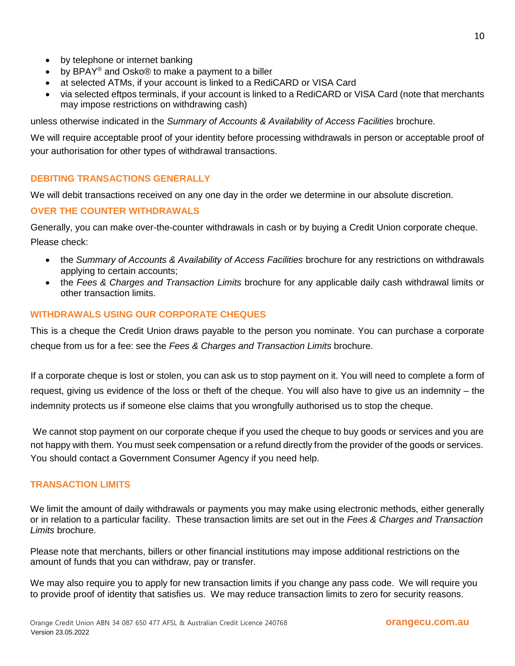- by telephone or internet banking
- by BPAY® and Osko® to make a payment to a biller
- at selected ATMs, if your account is linked to a RediCARD or VISA Card
- via selected eftpos terminals, if your account is linked to a RediCARD or VISA Card (note that merchants may impose restrictions on withdrawing cash)

unless otherwise indicated in the *Summary of Accounts & Availability of Access Facilities* brochure.

We will require acceptable proof of your identity before processing withdrawals in person or acceptable proof of your authorisation for other types of withdrawal transactions.

## **DEBITING TRANSACTIONS GENERALLY**

We will debit transactions received on any one day in the order we determine in our absolute discretion.

## **OVER THE COUNTER WITHDRAWALS**

Generally, you can make over-the-counter withdrawals in cash or by buying a Credit Union corporate cheque. Please check:

- the *Summary of Accounts & Availability of Access Facilities* brochure for any restrictions on withdrawals applying to certain accounts;
- the *Fees & Charges and Transaction Limits* brochure for any applicable daily cash withdrawal limits or other transaction limits.

## **WITHDRAWALS USING OUR CORPORATE CHEQUES**

This is a cheque the Credit Union draws payable to the person you nominate. You can purchase a corporate cheque from us for a fee: see the *Fees & Charges and Transaction Limits* brochure.

If a corporate cheque is lost or stolen, you can ask us to stop payment on it. You will need to complete a form of request, giving us evidence of the loss or theft of the cheque. You will also have to give us an indemnity – the indemnity protects us if someone else claims that you wrongfully authorised us to stop the cheque.

We cannot stop payment on our corporate cheque if you used the cheque to buy goods or services and you are not happy with them. You must seek compensation or a refund directly from the provider of the goods or services. You should contact a Government Consumer Agency if you need help.

#### **TRANSACTION LIMITS**

We limit the amount of daily withdrawals or payments you may make using electronic methods, either generally or in relation to a particular facility. These transaction limits are set out in the *Fees & Charges and Transaction Limits* brochure.

Please note that merchants, billers or other financial institutions may impose additional restrictions on the amount of funds that you can withdraw, pay or transfer.

We may also require you to apply for new transaction limits if you change any pass code. We will require you to provide proof of identity that satisfies us. We may reduce transaction limits to zero for security reasons.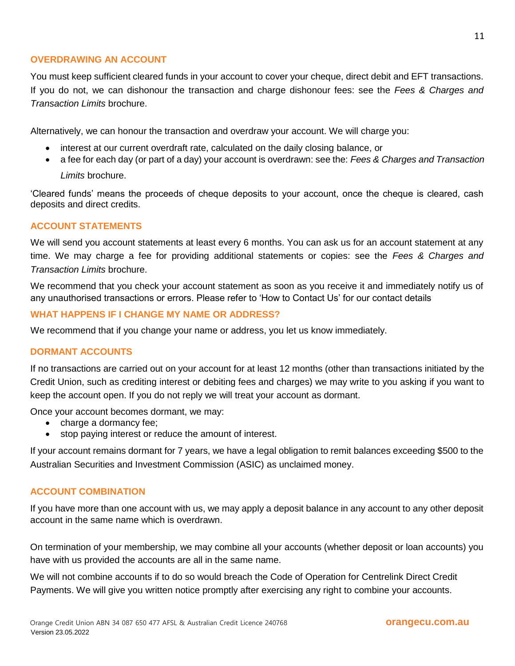## **OVERDRAWING AN ACCOUNT**

You must keep sufficient cleared funds in your account to cover your cheque, direct debit and EFT transactions. If you do not, we can dishonour the transaction and charge dishonour fees: see the *Fees & Charges and Transaction Limits* brochure.

Alternatively, we can honour the transaction and overdraw your account. We will charge you:

- interest at our current overdraft rate, calculated on the daily closing balance, or
- a fee for each day (or part of a day) your account is overdrawn: see the: *Fees & Charges and Transaction*

*Limits* brochure.

'Cleared funds' means the proceeds of cheque deposits to your account, once the cheque is cleared, cash deposits and direct credits.

#### **ACCOUNT STATEMENTS**

We will send you account statements at least every 6 months. You can ask us for an account statement at any time. We may charge a fee for providing additional statements or copies: see the *Fees & Charges and Transaction Limits* brochure.

We recommend that you check your account statement as soon as you receive it and immediately notify us of any unauthorised transactions or errors. Please refer to 'How to Contact Us' for our contact details

## **WHAT HAPPENS IF I CHANGE MY NAME OR ADDRESS?**

We recommend that if you change your name or address, you let us know immediately.

#### **DORMANT ACCOUNTS**

If no transactions are carried out on your account for at least 12 months (other than transactions initiated by the Credit Union, such as crediting interest or debiting fees and charges) we may write to you asking if you want to keep the account open. If you do not reply we will treat your account as dormant.

Once your account becomes dormant, we may:

- charge a dormancy fee;
- stop paying interest or reduce the amount of interest.

If your account remains dormant for 7 years, we have a legal obligation to remit balances exceeding \$500 to the Australian Securities and Investment Commission (ASIC) as unclaimed money.

#### **ACCOUNT COMBINATION**

If you have more than one account with us, we may apply a deposit balance in any account to any other deposit account in the same name which is overdrawn.

On termination of your membership, we may combine all your accounts (whether deposit or loan accounts) you have with us provided the accounts are all in the same name.

We will not combine accounts if to do so would breach the Code of Operation for Centrelink Direct Credit Payments. We will give you written notice promptly after exercising any right to combine your accounts.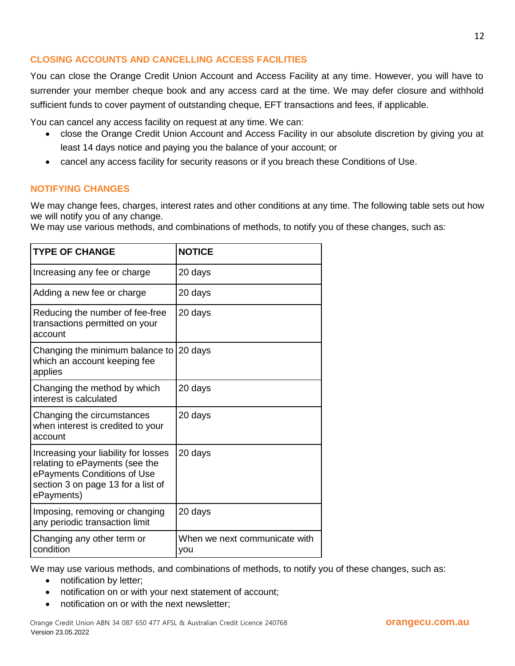# **CLOSING ACCOUNTS AND CANCELLING ACCESS FACILITIES**

You can close the Orange Credit Union Account and Access Facility at any time. However, you will have to surrender your member cheque book and any access card at the time. We may defer closure and withhold sufficient funds to cover payment of outstanding cheque, EFT transactions and fees, if applicable.

You can cancel any access facility on request at any time. We can:

- close the Orange Credit Union Account and Access Facility in our absolute discretion by giving you at least 14 days notice and paying you the balance of your account; or
- cancel any access facility for security reasons or if you breach these Conditions of Use.

## **NOTIFYING CHANGES**

We may change fees, charges, interest rates and other conditions at any time. The following table sets out how we will notify you of any change.

We may use various methods, and combinations of methods, to notify you of these changes, such as:

| <b>TYPE OF CHANGE</b>                                                                                                                                     | <b>NOTICE</b>                        |
|-----------------------------------------------------------------------------------------------------------------------------------------------------------|--------------------------------------|
| Increasing any fee or charge                                                                                                                              | 20 days                              |
| Adding a new fee or charge                                                                                                                                | 20 days                              |
| Reducing the number of fee-free<br>transactions permitted on your<br>account                                                                              | 20 days                              |
| Changing the minimum balance to<br>which an account keeping fee<br>applies                                                                                | 20 days                              |
| Changing the method by which<br>interest is calculated                                                                                                    | 20 days                              |
| Changing the circumstances<br>when interest is credited to your<br>account                                                                                | 20 days                              |
| Increasing your liability for losses<br>relating to ePayments (see the<br>ePayments Conditions of Use<br>section 3 on page 13 for a list of<br>ePayments) | 20 days                              |
| Imposing, removing or changing<br>any periodic transaction limit                                                                                          | 20 days                              |
| Changing any other term or<br>condition                                                                                                                   | When we next communicate with<br>you |

We may use various methods, and combinations of methods, to notify you of these changes, such as:

- notification by letter;
- notification on or with your next statement of account;
- notification on or with the next newsletter;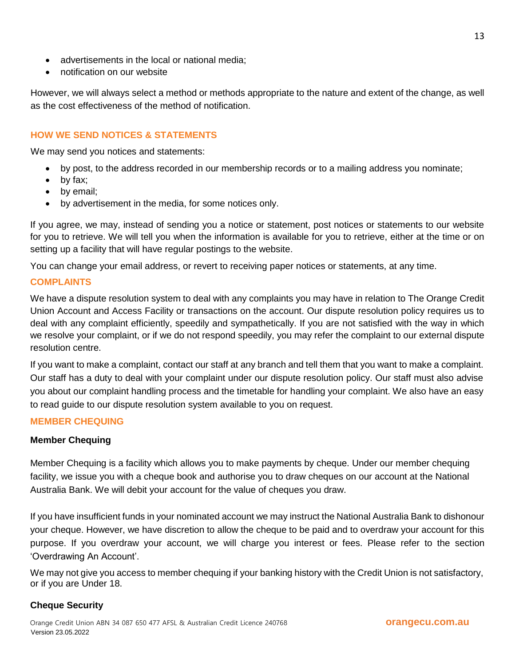- advertisements in the local or national media;
- notification on our website

However, we will always select a method or methods appropriate to the nature and extent of the change, as well as the cost effectiveness of the method of notification.

## **HOW WE SEND NOTICES & STATEMENTS**

We may send you notices and statements:

- by post, to the address recorded in our membership records or to a mailing address you nominate;
- by fax;
- by email;
- by advertisement in the media, for some notices only.

If you agree, we may, instead of sending you a notice or statement, post notices or statements to our website for you to retrieve. We will tell you when the information is available for you to retrieve, either at the time or on setting up a facility that will have regular postings to the website.

You can change your email address, or revert to receiving paper notices or statements, at any time.

#### **COMPLAINTS**

We have a dispute resolution system to deal with any complaints you may have in relation to The Orange Credit Union Account and Access Facility or transactions on the account. Our dispute resolution policy requires us to deal with any complaint efficiently, speedily and sympathetically. If you are not satisfied with the way in which we resolve your complaint, or if we do not respond speedily, you may refer the complaint to our external dispute resolution centre.

If you want to make a complaint, contact our staff at any branch and tell them that you want to make a complaint. Our staff has a duty to deal with your complaint under our dispute resolution policy. Our staff must also advise you about our complaint handling process and the timetable for handling your complaint. We also have an easy to read guide to our dispute resolution system available to you on request.

#### **MEMBER CHEQUING**

#### **Member Chequing**

Member Chequing is a facility which allows you to make payments by cheque. Under our member chequing facility, we issue you with a cheque book and authorise you to draw cheques on our account at the National Australia Bank. We will debit your account for the value of cheques you draw.

If you have insufficient funds in your nominated account we may instruct the National Australia Bank to dishonour your cheque. However, we have discretion to allow the cheque to be paid and to overdraw your account for this purpose. If you overdraw your account, we will charge you interest or fees. Please refer to the section 'Overdrawing An Account'.

We may not give you access to member chequing if your banking history with the Credit Union is not satisfactory, or if you are Under 18.

## **Cheque Security**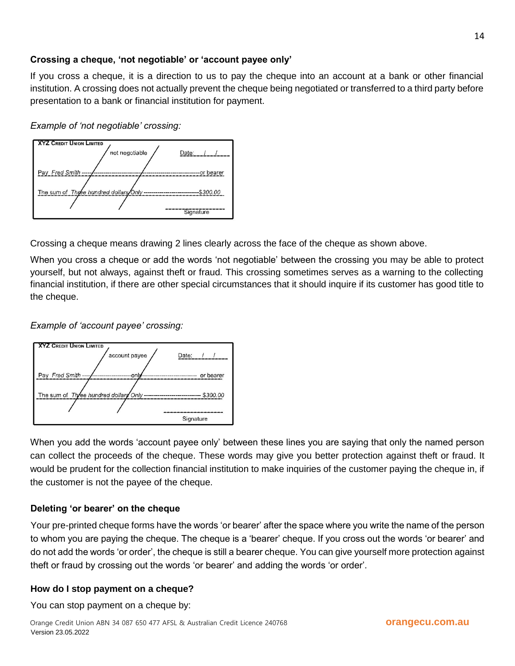## **Crossing a cheque, 'not negotiable' or 'account payee only'**

If you cross a cheque, it is a direction to us to pay the cheque into an account at a bank or other financial institution. A crossing does not actually prevent the cheque being negotiated or transferred to a third party before presentation to a bank or financial institution for payment.

*Example of 'not negotiable' crossing:*



Crossing a cheque means drawing 2 lines clearly across the face of the cheque as shown above.

When you cross a cheque or add the words 'not negotiable' between the crossing you may be able to protect yourself, but not always, against theft or fraud. This crossing sometimes serves as a warning to the collecting financial institution, if there are other special circumstances that it should inquire if its customer has good title to the cheque.

*Example of 'account payee' crossing:*



When you add the words 'account payee only' between these lines you are saying that only the named person can collect the proceeds of the cheque. These words may give you better protection against theft or fraud. It would be prudent for the collection financial institution to make inquiries of the customer paying the cheque in, if the customer is not the payee of the cheque.

# **Deleting 'or bearer' on the cheque**

Your pre-printed cheque forms have the words 'or bearer' after the space where you write the name of the person to whom you are paying the cheque. The cheque is a 'bearer' cheque. If you cross out the words 'or bearer' and do not add the words 'or order', the cheque is still a bearer cheque. You can give yourself more protection against theft or fraud by crossing out the words 'or bearer' and adding the words 'or order'.

# **How do I stop payment on a cheque?**

You can stop payment on a cheque by: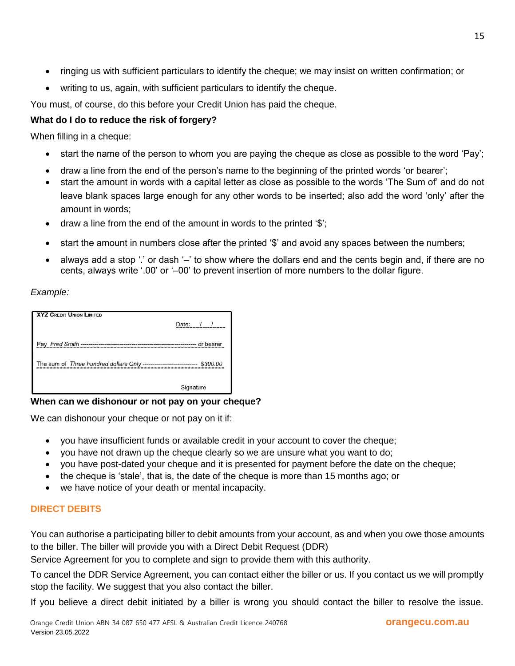- ringing us with sufficient particulars to identify the cheque; we may insist on written confirmation; or
- writing to us, again, with sufficient particulars to identify the cheque.

You must, of course, do this before your Credit Union has paid the cheque.

# **What do I do to reduce the risk of forgery?**

When filling in a cheque:

- start the name of the person to whom you are paying the cheque as close as possible to the word 'Pay';
- draw a line from the end of the person's name to the beginning of the printed words 'or bearer';
- start the amount in words with a capital letter as close as possible to the words 'The Sum of' and do not leave blank spaces large enough for any other words to be inserted; also add the word 'only' after the amount in words;
- draw a line from the end of the amount in words to the printed '\$';
- start the amount in numbers close after the printed '\$' and avoid any spaces between the numbers;
- always add a stop '.' or dash '–' to show where the dollars end and the cents begin and, if there are no cents, always write '.00' or '–00' to prevent insertion of more numbers to the dollar figure.

*Example:*

| XYZ CREDIT UNION LIMITED                                                   |                     |
|----------------------------------------------------------------------------|---------------------|
|                                                                            | Date: $\frac{1}{2}$ |
|                                                                            |                     |
| The sum of Three hundred dollars Only --------------------------- \$300.00 |                     |
|                                                                            | Signature           |

## **When can we dishonour or not pay on your cheque?**

We can dishonour your cheque or not pay on it if:

- you have insufficient funds or available credit in your account to cover the cheque;
- you have not drawn up the cheque clearly so we are unsure what you want to do;
- you have post-dated your cheque and it is presented for payment before the date on the cheque;
- $\bullet$  the cheque is 'stale', that is, the date of the cheque is more than 15 months ago; or
- we have notice of your death or mental incapacity.

# **DIRECT DEBITS**

You can authorise a participating biller to debit amounts from your account, as and when you owe those amounts to the biller. The biller will provide you with a Direct Debit Request (DDR)

Service Agreement for you to complete and sign to provide them with this authority.

To cancel the DDR Service Agreement, you can contact either the biller or us. If you contact us we will promptly stop the facility. We suggest that you also contact the biller.

If you believe a direct debit initiated by a biller is wrong you should contact the biller to resolve the issue.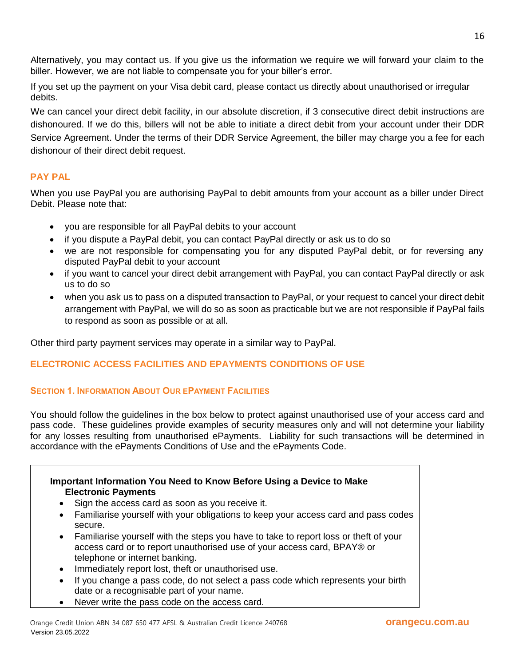Alternatively, you may contact us. If you give us the information we require we will forward your claim to the biller. However, we are not liable to compensate you for your biller's error.

If you set up the payment on your Visa debit card, please contact us directly about unauthorised or irregular debits.

We can cancel your direct debit facility, in our absolute discretion, if 3 consecutive direct debit instructions are dishonoured. If we do this, billers will not be able to initiate a direct debit from your account under their DDR Service Agreement. Under the terms of their DDR Service Agreement, the biller may charge you a fee for each dishonour of their direct debit request.

## **PAY PAL**

When you use PayPal you are authorising PayPal to debit amounts from your account as a biller under Direct Debit. Please note that:

- you are responsible for all PayPal debits to your account
- if you dispute a PayPal debit, you can contact PayPal directly or ask us to do so
- we are not responsible for compensating you for any disputed PayPal debit, or for reversing any disputed PayPal debit to your account
- if you want to cancel your direct debit arrangement with PayPal, you can contact PayPal directly or ask us to do so
- when you ask us to pass on a disputed transaction to PayPal, or your request to cancel your direct debit arrangement with PayPal, we will do so as soon as practicable but we are not responsible if PayPal fails to respond as soon as possible or at all.

Other third party payment services may operate in a similar way to PayPal.

# **ELECTRONIC ACCESS FACILITIES AND EPAYMENTS CONDITIONS OF USE**

## **SECTION 1. INFORMATION ABOUT OUR EPAYMENT FACILITIES**

You should follow the guidelines in the box below to protect against unauthorised use of your access card and pass code. These guidelines provide examples of security measures only and will not determine your liability for any losses resulting from unauthorised ePayments. Liability for such transactions will be determined in accordance with the ePayments Conditions of Use and the ePayments Code.

## **Important Information You Need to Know Before Using a Device to Make Electronic Payments**

- Sign the access card as soon as you receive it.
- Familiarise yourself with your obligations to keep your access card and pass codes secure.
- Familiarise yourself with the steps you have to take to report loss or theft of your access card or to report unauthorised use of your access card, BPAY® or telephone or internet banking.
- Immediately report lost, theft or unauthorised use.
- If you change a pass code, do not select a pass code which represents your birth date or a recognisable part of your name.
- Never write the pass code on the access card.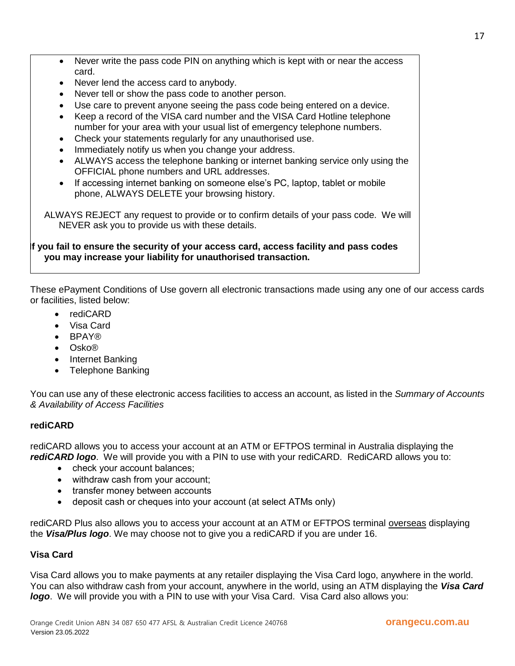- Never write the pass code PIN on anything which is kept with or near the access card.
- Never lend the access card to anybody.
- Never tell or show the pass code to another person.
- Use care to prevent anyone seeing the pass code being entered on a device.
- Keep a record of the VISA card number and the VISA Card Hotline telephone number for your area with your usual list of emergency telephone numbers.
- Check your statements regularly for any unauthorised use.
- Immediately notify us when you change your address.
- ALWAYS access the telephone banking or internet banking service only using the OFFICIAL phone numbers and URL addresses.
- If accessing internet banking on someone else's PC, laptop, tablet or mobile phone, ALWAYS DELETE your browsing history.

ALWAYS REJECT any request to provide or to confirm details of your pass code. We will NEVER ask you to provide us with these details.

#### **If you fail to ensure the security of your access card, access facility and pass codes you may increase your liability for unauthorised transaction.**

These ePayment Conditions of Use govern all electronic transactions made using any one of our access cards or facilities, listed below:

- rediCARD
- Visa Card
- BPAY®
- Osko®
- Internet Banking
- Telephone Banking

You can use any of these electronic access facilities to access an account, as listed in the *Summary of Accounts & Availability of Access Facilities*

#### **rediCARD**

rediCARD allows you to access your account at an ATM or EFTPOS terminal in Australia displaying the *rediCARD logo*. We will provide you with a PIN to use with your rediCARD. RediCARD allows you to:

- check your account balances;
- withdraw cash from your account;
- transfer money between accounts
- deposit cash or cheques into your account (at select ATMs only)

rediCARD Plus also allows you to access your account at an ATM or EFTPOS terminal overseas displaying the *Visa/Plus logo*. We may choose not to give you a rediCARD if you are under 16.

#### **Visa Card**

Visa Card allows you to make payments at any retailer displaying the Visa Card logo, anywhere in the world. You can also withdraw cash from your account, anywhere in the world, using an ATM displaying the *Visa Card logo*. We will provide you with a PIN to use with your Visa Card. Visa Card also allows you: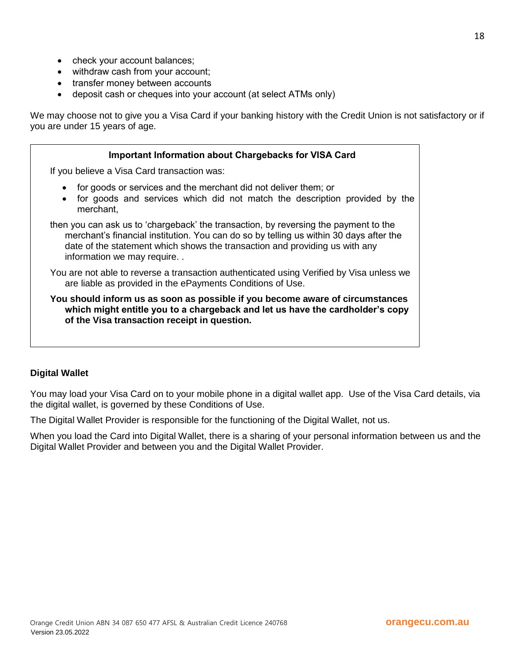- check your account balances;
- withdraw cash from your account;
- transfer money between accounts
- deposit cash or cheques into your account (at select ATMs only)

We may choose not to give you a Visa Card if your banking history with the Credit Union is not satisfactory or if you are under 15 years of age.

| <b>Important Information about Chargebacks for VISA Card</b>                                                                                                                                                                                                                                |  |
|---------------------------------------------------------------------------------------------------------------------------------------------------------------------------------------------------------------------------------------------------------------------------------------------|--|
| If you believe a Visa Card transaction was:                                                                                                                                                                                                                                                 |  |
| for goods or services and the merchant did not deliver them; or<br>$\bullet$<br>for goods and services which did not match the description provided by the<br>$\bullet$<br>merchant,                                                                                                        |  |
| then you can ask us to 'chargeback' the transaction, by reversing the payment to the<br>merchant's financial institution. You can do so by telling us within 30 days after the<br>date of the statement which shows the transaction and providing us with any<br>information we may require |  |
| You are not able to reverse a transaction authenticated using Verified by Visa unless we<br>are liable as provided in the ePayments Conditions of Use.                                                                                                                                      |  |
| You should inform us as soon as possible if you become aware of circumstances<br>which might entitle you to a chargeback and let us have the cardholder's copy<br>of the Visa transaction receipt in question.                                                                              |  |

#### **Digital Wallet**

You may load your Visa Card on to your mobile phone in a digital wallet app. Use of the Visa Card details, via the digital wallet, is governed by these Conditions of Use.

The Digital Wallet Provider is responsible for the functioning of the Digital Wallet, not us.

When you load the Card into Digital Wallet, there is a sharing of your personal information between us and the Digital Wallet Provider and between you and the Digital Wallet Provider.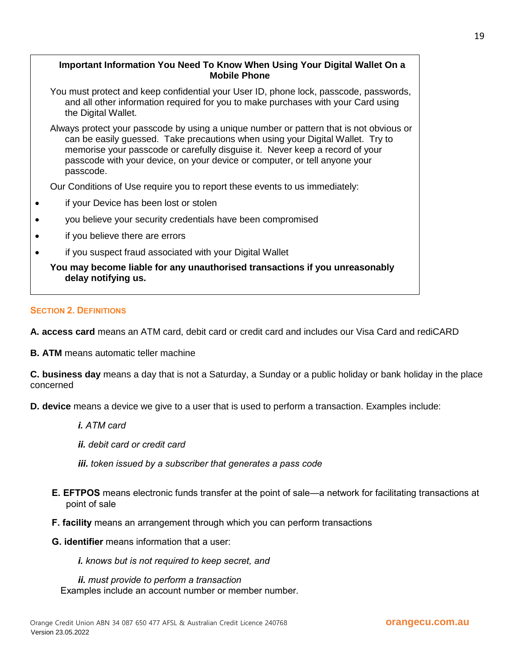## **Important Information You Need To Know When Using Your Digital Wallet On a Mobile Phone**

- You must protect and keep confidential your User ID, phone lock, passcode, passwords, and all other information required for you to make purchases with your Card using the Digital Wallet.
- Always protect your passcode by using a unique number or pattern that is not obvious or can be easily guessed. Take precautions when using your Digital Wallet. Try to memorise your passcode or carefully disguise it. Never keep a record of your passcode with your device, on your device or computer, or tell anyone your passcode.

Our Conditions of Use require you to report these events to us immediately:

- if your Device has been lost or stolen
- you believe your security credentials have been compromised
- if you believe there are errors
- if you suspect fraud associated with your Digital Wallet

**You may become liable for any unauthorised transactions if you unreasonably delay notifying us.**

#### **SECTION 2. DEFINITIONS**

**A. access card** means an ATM card, debit card or credit card and includes our Visa Card and rediCARD

**B. ATM** means automatic teller machine

**C. business day** means a day that is not a Saturday, a Sunday or a public holiday or bank holiday in the place concerned

**D. device** means a device we give to a user that is used to perform a transaction. Examples include:

*i. ATM card*

*ii. debit card or credit card*

*iii. token issued by a subscriber that generates a pass code*

- **E. EFTPOS** means electronic funds transfer at the point of sale—a network for facilitating transactions at point of sale
- **F. facility** means an arrangement through which you can perform transactions
- **G. identifier** means information that a user:
	- *i. knows but is not required to keep secret, and*

*ii. must provide to perform a transaction* Examples include an account number or member number.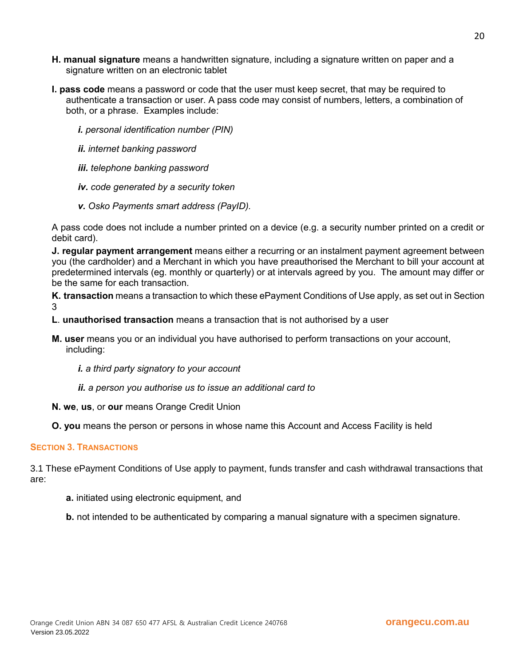- **H. manual signature** means a handwritten signature, including a signature written on paper and a signature written on an electronic tablet
- **I. pass code** means a password or code that the user must keep secret, that may be required to authenticate a transaction or user. A pass code may consist of numbers, letters, a combination of both, or a phrase. Examples include:
	- *i. personal identification number (PIN)*
	- *ii. internet banking password*
	- *iii. telephone banking password*
	- *iv. code generated by a security token*
	- *v. Osko Payments smart address (PayID).*

A pass code does not include a number printed on a device (e.g. a security number printed on a credit or debit card).

**J. regular payment arrangement** means either a recurring or an instalment payment agreement between you (the cardholder) and a Merchant in which you have preauthorised the Merchant to bill your account at predetermined intervals (eg. monthly or quarterly) or at intervals agreed by you. The amount may differ or be the same for each transaction.

**K. transaction** means a transaction to which these ePayment Conditions of Use apply, as set out in Section 3

- **L**. **unauthorised transaction** means a transaction that is not authorised by a user
- **M. user** means you or an individual you have authorised to perform transactions on your account, including:
	- *i. a third party signatory to your account*
	- *ii. a person you authorise us to issue an additional card to*
- **N. we**, **us**, or **our** means Orange Credit Union

**O. you** means the person or persons in whose name this Account and Access Facility is held

#### **SECTION 3. TRANSACTIONS**

3.1 These ePayment Conditions of Use apply to payment, funds transfer and cash withdrawal transactions that are:

- **a.** initiated using electronic equipment, and
- **b.** not intended to be authenticated by comparing a manual signature with a specimen signature.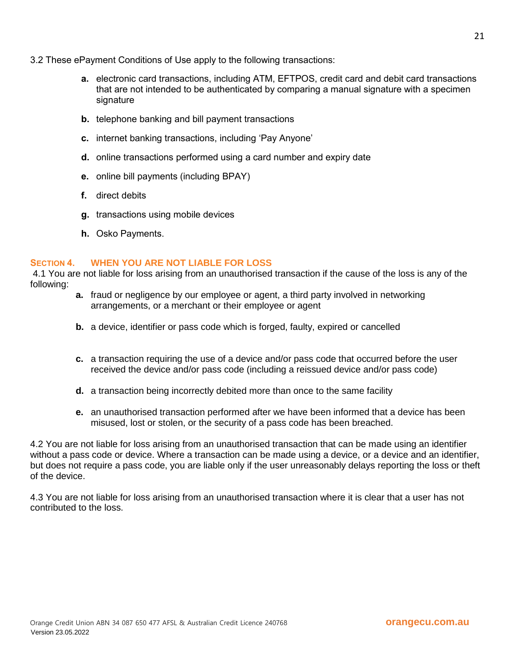- 3.2 These ePayment Conditions of Use apply to the following transactions:
	- **a.** electronic card transactions, including ATM, EFTPOS, credit card and debit card transactions that are not intended to be authenticated by comparing a manual signature with a specimen signature
	- **b.** telephone banking and bill payment transactions
	- **c.** internet banking transactions, including 'Pay Anyone'
	- **d.** online transactions performed using a card number and expiry date
	- **e.** online bill payments (including BPAY)
	- **f.** direct debits
	- **g.** transactions using mobile devices
	- **h.** Osko Payments.

#### **SECTION 4. WHEN YOU ARE NOT LIABLE FOR LOSS**

4.1 You are not liable for loss arising from an unauthorised transaction if the cause of the loss is any of the following:

- **a.** fraud or negligence by our employee or agent, a third party involved in networking arrangements, or a merchant or their employee or agent
- **b.** a device, identifier or pass code which is forged, faulty, expired or cancelled
- **c.** a transaction requiring the use of a device and/or pass code that occurred before the user received the device and/or pass code (including a reissued device and/or pass code)
- **d.** a transaction being incorrectly debited more than once to the same facility
- **e.** an unauthorised transaction performed after we have been informed that a device has been misused, lost or stolen, or the security of a pass code has been breached.

4.2 You are not liable for loss arising from an unauthorised transaction that can be made using an identifier without a pass code or device. Where a transaction can be made using a device, or a device and an identifier, but does not require a pass code, you are liable only if the user unreasonably delays reporting the loss or theft of the device.

4.3 You are not liable for loss arising from an unauthorised transaction where it is clear that a user has not contributed to the loss.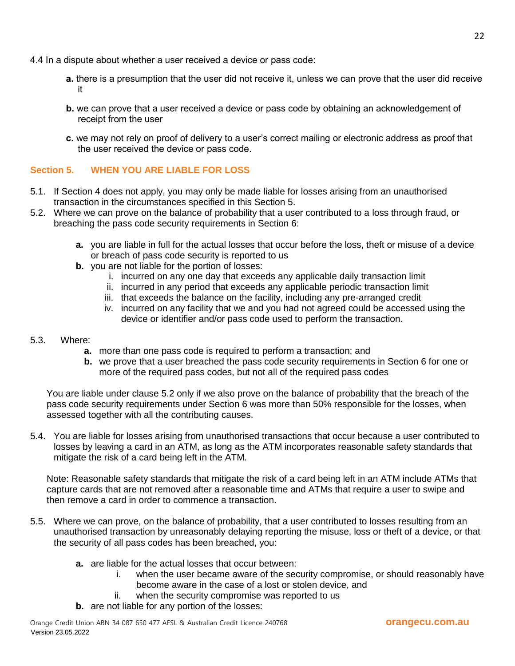- 4.4 In a dispute about whether a user received a device or pass code:
	- **a.** there is a presumption that the user did not receive it, unless we can prove that the user did receive it
	- **b.** we can prove that a user received a device or pass code by obtaining an acknowledgement of receipt from the user
	- **c.** we may not rely on proof of delivery to a user's correct mailing or electronic address as proof that the user received the device or pass code.

## **Section 5. WHEN YOU ARE LIABLE FOR LOSS**

- 5.1. If Section 4 does not apply, you may only be made liable for losses arising from an unauthorised transaction in the circumstances specified in this Section 5.
- 5.2. Where we can prove on the balance of probability that a user contributed to a loss through fraud, or breaching the pass code security requirements in Section 6:
	- **a.** you are liable in full for the actual losses that occur before the loss, theft or misuse of a device or breach of pass code security is reported to us
	- **b.** you are not liable for the portion of losses:
		- i. incurred on any one day that exceeds any applicable daily transaction limit
		- ii. incurred in any period that exceeds any applicable periodic transaction limit
		- iii. that exceeds the balance on the facility, including any pre-arranged credit
		- iv. incurred on any facility that we and you had not agreed could be accessed using the device or identifier and/or pass code used to perform the transaction.

#### 5.3. Where:

- **a.** more than one pass code is required to perform a transaction; and
- **b.** we prove that a user breached the pass code security requirements in Section 6 for one or more of the required pass codes, but not all of the required pass codes

You are liable under clause 5.2 only if we also prove on the balance of probability that the breach of the pass code security requirements under Section 6 was more than 50% responsible for the losses, when assessed together with all the contributing causes.

5.4. You are liable for losses arising from unauthorised transactions that occur because a user contributed to losses by leaving a card in an ATM, as long as the ATM incorporates reasonable safety standards that mitigate the risk of a card being left in the ATM.

Note: Reasonable safety standards that mitigate the risk of a card being left in an ATM include ATMs that capture cards that are not removed after a reasonable time and ATMs that require a user to swipe and then remove a card in order to commence a transaction.

- 5.5. Where we can prove, on the balance of probability, that a user contributed to losses resulting from an unauthorised transaction by unreasonably delaying reporting the misuse, loss or theft of a device, or that the security of all pass codes has been breached, you:
	- **a.** are liable for the actual losses that occur between:
		- i. when the user became aware of the security compromise, or should reasonably have become aware in the case of a lost or stolen device, and
		- ii. when the security compromise was reported to us
	- **b.** are not liable for any portion of the losses: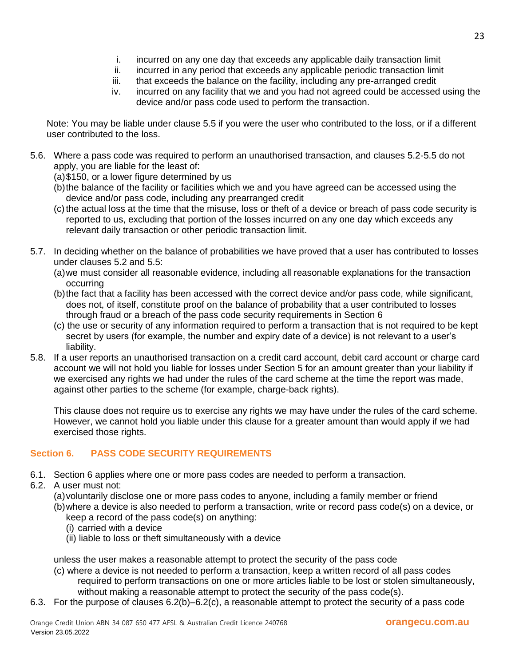- i. incurred on any one day that exceeds any applicable daily transaction limit
- ii. incurred in any period that exceeds any applicable periodic transaction limit
- iii. that exceeds the balance on the facility, including any pre-arranged credit
- iv. incurred on any facility that we and you had not agreed could be accessed using the device and/or pass code used to perform the transaction.

Note: You may be liable under clause 5.5 if you were the user who contributed to the loss, or if a different user contributed to the loss.

- 5.6. Where a pass code was required to perform an unauthorised transaction, and clauses 5.2-5.5 do not apply, you are liable for the least of:
	- (a)\$150, or a lower figure determined by us
	- (b)the balance of the facility or facilities which we and you have agreed can be accessed using the device and/or pass code, including any prearranged credit
	- (c)the actual loss at the time that the misuse, loss or theft of a device or breach of pass code security is reported to us, excluding that portion of the losses incurred on any one day which exceeds any relevant daily transaction or other periodic transaction limit.
- 5.7. In deciding whether on the balance of probabilities we have proved that a user has contributed to losses under clauses 5.2 and 5.5:
	- (a)we must consider all reasonable evidence, including all reasonable explanations for the transaction occurring
	- (b)the fact that a facility has been accessed with the correct device and/or pass code, while significant, does not, of itself, constitute proof on the balance of probability that a user contributed to losses through fraud or a breach of the pass code security requirements in Section 6
	- (c) the use or security of any information required to perform a transaction that is not required to be kept secret by users (for example, the number and expiry date of a device) is not relevant to a user's liability.
- 5.8. If a user reports an unauthorised transaction on a credit card account, debit card account or charge card account we will not hold you liable for losses under Section 5 for an amount greater than your liability if we exercised any rights we had under the rules of the card scheme at the time the report was made, against other parties to the scheme (for example, charge-back rights).

This clause does not require us to exercise any rights we may have under the rules of the card scheme. However, we cannot hold you liable under this clause for a greater amount than would apply if we had exercised those rights.

# **Section 6. PASS CODE SECURITY REQUIREMENTS**

- 6.1. Section 6 applies where one or more pass codes are needed to perform a transaction.
- 6.2. A user must not:
	- (a)voluntarily disclose one or more pass codes to anyone, including a family member or friend
	- (b)where a device is also needed to perform a transaction, write or record pass code(s) on a device, or keep a record of the pass code(s) on anything:
		- (i) carried with a device
		- (ii) liable to loss or theft simultaneously with a device

unless the user makes a reasonable attempt to protect the security of the pass code

- (c) where a device is not needed to perform a transaction, keep a written record of all pass codes required to perform transactions on one or more articles liable to be lost or stolen simultaneously, without making a reasonable attempt to protect the security of the pass code(s).
- 6.3. For the purpose of clauses 6.2(b)–6.2(c), a reasonable attempt to protect the security of a pass code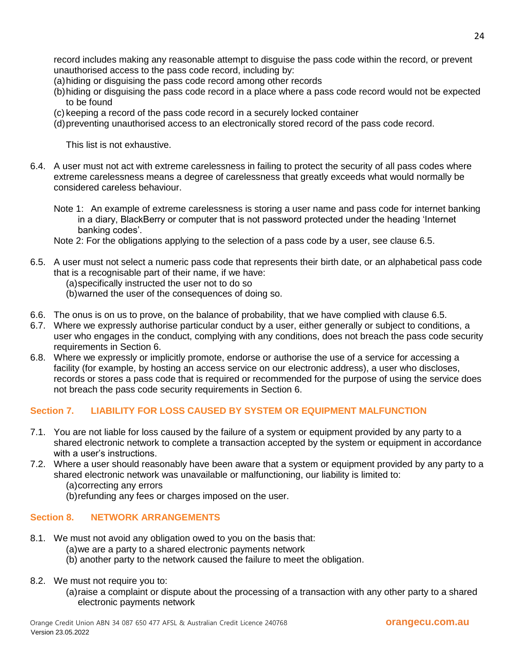record includes making any reasonable attempt to disguise the pass code within the record, or prevent unauthorised access to the pass code record, including by:

- (a)hiding or disguising the pass code record among other records
- (b)hiding or disguising the pass code record in a place where a pass code record would not be expected to be found
- (c) keeping a record of the pass code record in a securely locked container
- (d)preventing unauthorised access to an electronically stored record of the pass code record.

This list is not exhaustive.

- 6.4. A user must not act with extreme carelessness in failing to protect the security of all pass codes where extreme carelessness means a degree of carelessness that greatly exceeds what would normally be considered careless behaviour.
	- Note 1: An example of extreme carelessness is storing a user name and pass code for internet banking in a diary, BlackBerry or computer that is not password protected under the heading 'Internet banking codes'.
	- Note 2: For the obligations applying to the selection of a pass code by a user, see clause 6.5.
- 6.5. A user must not select a numeric pass code that represents their birth date, or an alphabetical pass code that is a recognisable part of their name, if we have:
	- (a)specifically instructed the user not to do so
	- (b)warned the user of the consequences of doing so.
- 6.6. The onus is on us to prove, on the balance of probability, that we have complied with clause 6.5.
- 6.7. Where we expressly authorise particular conduct by a user, either generally or subject to conditions, a user who engages in the conduct, complying with any conditions, does not breach the pass code security requirements in Section 6.
- 6.8. Where we expressly or implicitly promote, endorse or authorise the use of a service for accessing a facility (for example, by hosting an access service on our electronic address), a user who discloses, records or stores a pass code that is required or recommended for the purpose of using the service does not breach the pass code security requirements in Section 6.

## **Section 7. LIABILITY FOR LOSS CAUSED BY SYSTEM OR EQUIPMENT MALFUNCTION**

- 7.1. You are not liable for loss caused by the failure of a system or equipment provided by any party to a shared electronic network to complete a transaction accepted by the system or equipment in accordance with a user's instructions.
- 7.2. Where a user should reasonably have been aware that a system or equipment provided by any party to a shared electronic network was unavailable or malfunctioning, our liability is limited to:
	- (a)correcting any errors
	- (b)refunding any fees or charges imposed on the user.

## **Section 8. NETWORK ARRANGEMENTS**

- 8.1. We must not avoid any obligation owed to you on the basis that:
	- (a)we are a party to a shared electronic payments network
	- (b) another party to the network caused the failure to meet the obligation.
- 8.2. We must not require you to:
	- (a)raise a complaint or dispute about the processing of a transaction with any other party to a shared electronic payments network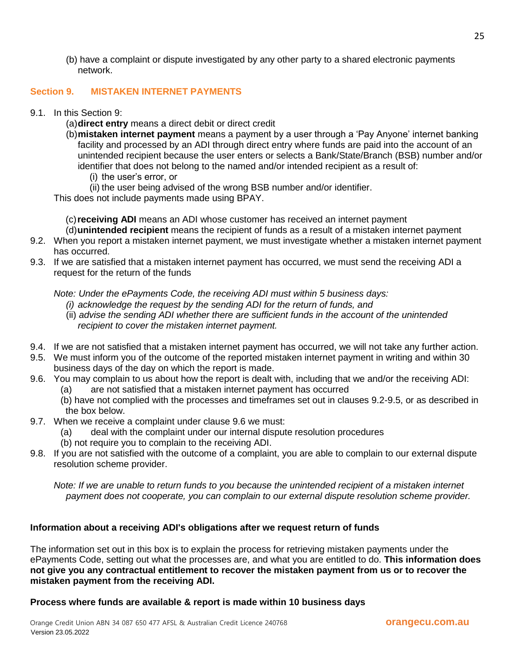(b) have a complaint or dispute investigated by any other party to a shared electronic payments network.

#### **Section 9. MISTAKEN INTERNET PAYMENTS**

- 9.1. In this Section 9:
	- (a)**direct entry** means a direct debit or direct credit
	- (b)**mistaken internet payment** means a payment by a user through a 'Pay Anyone' internet banking facility and processed by an ADI through direct entry where funds are paid into the account of an unintended recipient because the user enters or selects a Bank/State/Branch (BSB) number and/or identifier that does not belong to the named and/or intended recipient as a result of:
		- (i) the user's error, or
		- (ii) the user being advised of the wrong BSB number and/or identifier.

This does not include payments made using BPAY.

(c)**receiving ADI** means an ADI whose customer has received an internet payment

- (d)**unintended recipient** means the recipient of funds as a result of a mistaken internet payment
- 9.2. When you report a mistaken internet payment, we must investigate whether a mistaken internet payment has occurred.
- 9.3. If we are satisfied that a mistaken internet payment has occurred, we must send the receiving ADI a request for the return of the funds

*Note: Under the ePayments Code, the receiving ADI must within 5 business days:* 

- *(i) acknowledge the request by the sending ADI for the return of funds, and*
- (ii) *advise the sending ADI whether there are sufficient funds in the account of the unintended recipient to cover the mistaken internet payment.*
- 9.4. If we are not satisfied that a mistaken internet payment has occurred, we will not take any further action.
- 9.5. We must inform you of the outcome of the reported mistaken internet payment in writing and within 30 business days of the day on which the report is made.
- 9.6. You may complain to us about how the report is dealt with, including that we and/or the receiving ADI:
	- (a) are not satisfied that a mistaken internet payment has occurred
	- (b) have not complied with the processes and timeframes set out in clauses 9.2-9.5, or as described in the box below.
- 9.7. When we receive a complaint under clause 9.6 we must:
	- (a) deal with the complaint under our internal dispute resolution procedures
	- (b) not require you to complain to the receiving ADI.
- 9.8. If you are not satisfied with the outcome of a complaint, you are able to complain to our external dispute resolution scheme provider.

*Note: If we are unable to return funds to you because the unintended recipient of a mistaken internet payment does not cooperate, you can complain to our external dispute resolution scheme provider.* 

## **Information about a receiving ADI's obligations after we request return of funds**

The information set out in this box is to explain the process for retrieving mistaken payments under the ePayments Code, setting out what the processes are, and what you are entitled to do. **This information does not give you any contractual entitlement to recover the mistaken payment from us or to recover the mistaken payment from the receiving ADI.** 

#### **Process where funds are available & report is made within 10 business days**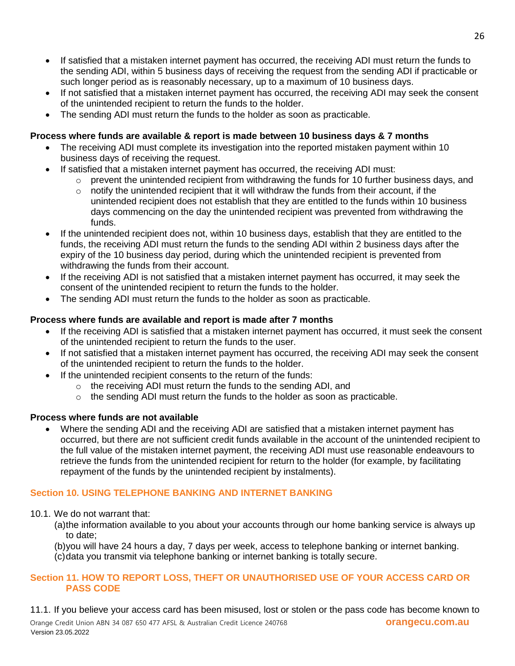- If satisfied that a mistaken internet payment has occurred, the receiving ADI must return the funds to the sending ADI, within 5 business days of receiving the request from the sending ADI if practicable or such longer period as is reasonably necessary, up to a maximum of 10 business days.
- If not satisfied that a mistaken internet payment has occurred, the receiving ADI may seek the consent of the unintended recipient to return the funds to the holder.
- The sending ADI must return the funds to the holder as soon as practicable.

# **Process where funds are available & report is made between 10 business days & 7 months**

- The receiving ADI must complete its investigation into the reported mistaken payment within 10 business days of receiving the request.
- If satisfied that a mistaken internet payment has occurred, the receiving ADI must:
	- o prevent the unintended recipient from withdrawing the funds for 10 further business days, and
	- $\circ$  notify the unintended recipient that it will withdraw the funds from their account, if the unintended recipient does not establish that they are entitled to the funds within 10 business days commencing on the day the unintended recipient was prevented from withdrawing the funds.
- If the unintended recipient does not, within 10 business days, establish that they are entitled to the funds, the receiving ADI must return the funds to the sending ADI within 2 business days after the expiry of the 10 business day period, during which the unintended recipient is prevented from withdrawing the funds from their account.
- If the receiving ADI is not satisfied that a mistaken internet payment has occurred, it may seek the consent of the unintended recipient to return the funds to the holder.
- The sending ADI must return the funds to the holder as soon as practicable.

## **Process where funds are available and report is made after 7 months**

- If the receiving ADI is satisfied that a mistaken internet payment has occurred, it must seek the consent of the unintended recipient to return the funds to the user.
- If not satisfied that a mistaken internet payment has occurred, the receiving ADI may seek the consent of the unintended recipient to return the funds to the holder.
- If the unintended recipient consents to the return of the funds:
	- o the receiving ADI must return the funds to the sending ADI, and
	- $\circ$  the sending ADI must return the funds to the holder as soon as practicable.

## **Process where funds are not available**

 Where the sending ADI and the receiving ADI are satisfied that a mistaken internet payment has occurred, but there are not sufficient credit funds available in the account of the unintended recipient to the full value of the mistaken internet payment, the receiving ADI must use reasonable endeavours to retrieve the funds from the unintended recipient for return to the holder (for example, by facilitating repayment of the funds by the unintended recipient by instalments).

# **Section 10. USING TELEPHONE BANKING AND INTERNET BANKING**

- 10.1. We do not warrant that:
	- (a)the information available to you about your accounts through our home banking service is always up to date;
	- (b)you will have 24 hours a day, 7 days per week, access to telephone banking or internet banking.
	- (c)data you transmit via telephone banking or internet banking is totally secure.

## **Section 11. HOW TO REPORT LOSS, THEFT OR UNAUTHORISED USE OF YOUR ACCESS CARD OR PASS CODE**

 Orange Credit Union ABN 34 087 650 477 AFSL & Australian Credit Licence 240768 **orangecu.com.au** Version 23.05.2022 11.1. If you believe your access card has been misused, lost or stolen or the pass code has become known to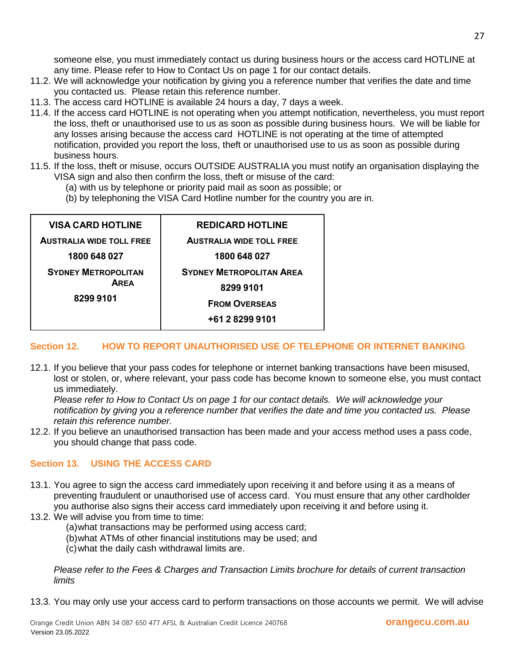someone else, you must immediately contact us during business hours or the access card HOTLINE at any time. Please refer to How to Contact Us on page 1 for our contact details.

- 11.2. We will acknowledge your notification by giving you a reference number that verifies the date and time you contacted us. Please retain this reference number.
- 11.3. The access card HOTLINE is available 24 hours a day, 7 days a week.
- 11.4. If the access card HOTLINE is not operating when you attempt notification, nevertheless, you must report the loss, theft or unauthorised use to us as soon as possible during business hours. We will be liable for any losses arising because the access card HOTLINE is not operating at the time of attempted notification, provided you report the loss, theft or unauthorised use to us as soon as possible during business hours.
- 11.5. If the loss, theft or misuse, occurs OUTSIDE AUSTRALIA you must notify an organisation displaying the VISA sign and also then confirm the loss, theft or misuse of the card:
	- (a) with us by telephone or priority paid mail as soon as possible; or
	- (b) by telephoning the VISA Card Hotline number for the country you are in.

| <b>VISA CARD HOTLINE</b>                              | <b>REDICARD HOTLINE</b>         |
|-------------------------------------------------------|---------------------------------|
| <b>AUSTRALIA WIDE TOLL FREE</b>                       | <b>AUSTRALIA WIDE TOLL FREE</b> |
| 1800 648 027                                          | 1800 648 027                    |
| <b>SYDNEY METROPOLITAN</b><br><b>AREA</b><br>82999101 | <b>SYDNEY METROPOLITAN AREA</b> |
|                                                       | 82999101                        |
|                                                       | <b>FROM OVERSEAS</b>            |
|                                                       | +61 2 8299 9101                 |
|                                                       |                                 |

## **Section 12. HOW TO REPORT UNAUTHORISED USE OF TELEPHONE OR INTERNET BANKING**

12.1. If you believe that your pass codes for telephone or internet banking transactions have been misused, lost or stolen, or, where relevant, your pass code has become known to someone else, you must contact us immediately.

*Please refer to How to Contact Us on page 1 for our contact details. We will acknowledge your notification by giving you a reference number that verifies the date and time you contacted us. Please retain this reference number.*

12.2. If you believe an unauthorised transaction has been made and your access method uses a pass code, you should change that pass code.

## **Section 13. USING THE ACCESS CARD**

- 13.1. You agree to sign the access card immediately upon receiving it and before using it as a means of preventing fraudulent or unauthorised use of access card. You must ensure that any other cardholder you authorise also signs their access card immediately upon receiving it and before using it.
- 13.2. We will advise you from time to time:
	- (a)what transactions may be performed using access card;
	- (b)what ATMs of other financial institutions may be used; and
	- (c)what the daily cash withdrawal limits are.

*Please refer to the Fees & Charges and Transaction Limits brochure for details of current transaction limits* 

13.3. You may only use your access card to perform transactions on those accounts we permit. We will advise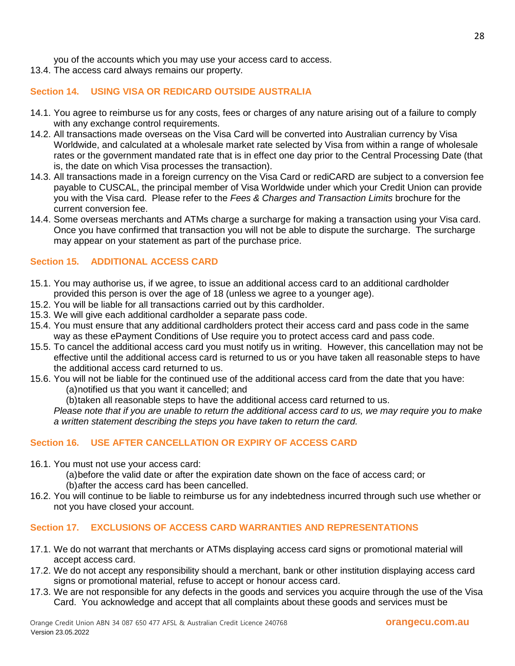you of the accounts which you may use your access card to access.

13.4. The access card always remains our property.

#### **Section 14. USING VISA OR REDICARD OUTSIDE AUSTRALIA**

- 14.1. You agree to reimburse us for any costs, fees or charges of any nature arising out of a failure to comply with any exchange control requirements.
- 14.2. All transactions made overseas on the Visa Card will be converted into Australian currency by Visa Worldwide, and calculated at a wholesale market rate selected by Visa from within a range of wholesale rates or the government mandated rate that is in effect one day prior to the Central Processing Date (that is, the date on which Visa processes the transaction).
- 14.3. All transactions made in a foreign currency on the Visa Card or rediCARD are subject to a conversion fee payable to CUSCAL, the principal member of Visa Worldwide under which your Credit Union can provide you with the Visa card. Please refer to the *Fees & Charges and Transaction Limits* brochure for the current conversion fee.
- 14.4. Some overseas merchants and ATMs charge a surcharge for making a transaction using your Visa card. Once you have confirmed that transaction you will not be able to dispute the surcharge. The surcharge may appear on your statement as part of the purchase price.

## **Section 15. ADDITIONAL ACCESS CARD**

- 15.1. You may authorise us, if we agree, to issue an additional access card to an additional cardholder provided this person is over the age of 18 (unless we agree to a younger age).
- 15.2. You will be liable for all transactions carried out by this cardholder.
- 15.3. We will give each additional cardholder a separate pass code.
- 15.4. You must ensure that any additional cardholders protect their access card and pass code in the same way as these ePayment Conditions of Use require you to protect access card and pass code.
- 15.5. To cancel the additional access card you must notify us in writing. However, this cancellation may not be effective until the additional access card is returned to us or you have taken all reasonable steps to have the additional access card returned to us.
- 15.6. You will not be liable for the continued use of the additional access card from the date that you have: (a)notified us that you want it cancelled; and
	- (b)taken all reasonable steps to have the additional access card returned to us.

*Please note that if you are unable to return the additional access card to us, we may require you to make a written statement describing the steps you have taken to return the card.*

#### **Section 16. USE AFTER CANCELLATION OR EXPIRY OF ACCESS CARD**

16.1. You must not use your access card:

(a)before the valid date or after the expiration date shown on the face of access card; or (b)after the access card has been cancelled.

16.2. You will continue to be liable to reimburse us for any indebtedness incurred through such use whether or not you have closed your account.

#### **Section 17. EXCLUSIONS OF ACCESS CARD WARRANTIES AND REPRESENTATIONS**

- 17.1. We do not warrant that merchants or ATMs displaying access card signs or promotional material will accept access card.
- 17.2. We do not accept any responsibility should a merchant, bank or other institution displaying access card signs or promotional material, refuse to accept or honour access card.
- 17.3. We are not responsible for any defects in the goods and services you acquire through the use of the Visa Card. You acknowledge and accept that all complaints about these goods and services must be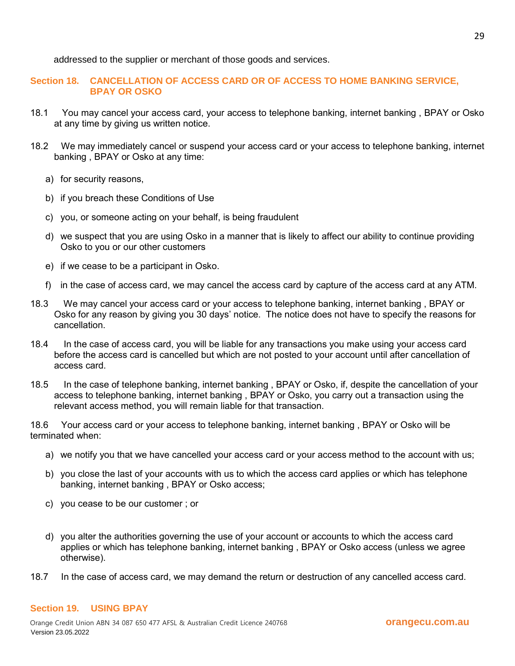addressed to the supplier or merchant of those goods and services.

**Section 18. CANCELLATION OF ACCESS CARD OR OF ACCESS TO HOME BANKING SERVICE, BPAY OR OSKO** 

- 18.1 You may cancel your access card, your access to telephone banking, internet banking , BPAY or Osko at any time by giving us written notice.
- 18.2 We may immediately cancel or suspend your access card or your access to telephone banking, internet banking , BPAY or Osko at any time:
	- a) for security reasons,
	- b) if you breach these Conditions of Use
	- c) you, or someone acting on your behalf, is being fraudulent
	- d) we suspect that you are using Osko in a manner that is likely to affect our ability to continue providing Osko to you or our other customers
	- e) if we cease to be a participant in Osko.
	- f) in the case of access card, we may cancel the access card by capture of the access card at any ATM.
- 18.3 We may cancel your access card or your access to telephone banking, internet banking , BPAY or Osko for any reason by giving you 30 days' notice. The notice does not have to specify the reasons for cancellation.
- 18.4 In the case of access card, you will be liable for any transactions you make using your access card before the access card is cancelled but which are not posted to your account until after cancellation of access card.
- 18.5 In the case of telephone banking, internet banking , BPAY or Osko, if, despite the cancellation of your access to telephone banking, internet banking , BPAY or Osko, you carry out a transaction using the relevant access method, you will remain liable for that transaction.

18.6 Your access card or your access to telephone banking, internet banking , BPAY or Osko will be terminated when:

- a) we notify you that we have cancelled your access card or your access method to the account with us;
- b) you close the last of your accounts with us to which the access card applies or which has telephone banking, internet banking , BPAY or Osko access;
- c) you cease to be our customer ; or
- d) you alter the authorities governing the use of your account or accounts to which the access card applies or which has telephone banking, internet banking , BPAY or Osko access (unless we agree otherwise).
- 18.7 In the case of access card, we may demand the return or destruction of any cancelled access card.

#### **Section 19. USING BPAY**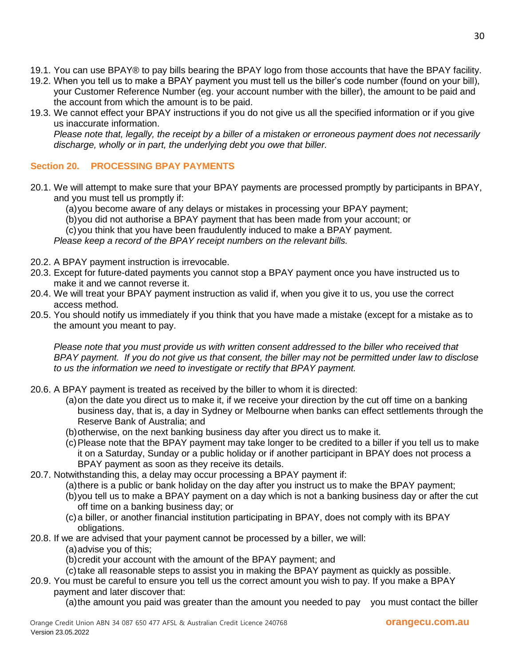- 19.1. You can use BPAY® to pay bills bearing the BPAY logo from those accounts that have the BPAY facility.
- 19.2. When you tell us to make a BPAY payment you must tell us the biller's code number (found on your bill), your Customer Reference Number (eg. your account number with the biller), the amount to be paid and the account from which the amount is to be paid.
- 19.3. We cannot effect your BPAY instructions if you do not give us all the specified information or if you give us inaccurate information.

*Please note that, legally, the receipt by a biller of a mistaken or erroneous payment does not necessarily discharge, wholly or in part, the underlying debt you owe that biller.* 

# **Section 20. PROCESSING BPAY PAYMENTS**

- 20.1. We will attempt to make sure that your BPAY payments are processed promptly by participants in BPAY, and you must tell us promptly if:
	- (a)you become aware of any delays or mistakes in processing your BPAY payment;
	- (b)you did not authorise a BPAY payment that has been made from your account; or
	- (c)you think that you have been fraudulently induced to make a BPAY payment.

*Please keep a record of the BPAY receipt numbers on the relevant bills.*

- 20.2. A BPAY payment instruction is irrevocable.
- 20.3. Except for future-dated payments you cannot stop a BPAY payment once you have instructed us to make it and we cannot reverse it.
- 20.4. We will treat your BPAY payment instruction as valid if, when you give it to us, you use the correct access method.
- 20.5. You should notify us immediately if you think that you have made a mistake (except for a mistake as to the amount you meant to pay.

*Please note that you must provide us with written consent addressed to the biller who received that BPAY payment. If you do not give us that consent, the biller may not be permitted under law to disclose to us the information we need to investigate or rectify that BPAY payment.*

- 20.6. A BPAY payment is treated as received by the biller to whom it is directed:
	- (a)on the date you direct us to make it, if we receive your direction by the cut off time on a banking business day, that is, a day in Sydney or Melbourne when banks can effect settlements through the Reserve Bank of Australia; and
	- (b)otherwise, on the next banking business day after you direct us to make it.
	- (c)Please note that the BPAY payment may take longer to be credited to a biller if you tell us to make it on a Saturday, Sunday or a public holiday or if another participant in BPAY does not process a BPAY payment as soon as they receive its details.
- 20.7. Notwithstanding this, a delay may occur processing a BPAY payment if:
	- (a)there is a public or bank holiday on the day after you instruct us to make the BPAY payment;
	- (b)you tell us to make a BPAY payment on a day which is not a banking business day or after the cut off time on a banking business day; or
	- (c)a biller, or another financial institution participating in BPAY, does not comply with its BPAY obligations.
- 20.8. If we are advised that your payment cannot be processed by a biller, we will:
	- (a)advise you of this;
	- (b)credit your account with the amount of the BPAY payment; and
	- (c)take all reasonable steps to assist you in making the BPAY payment as quickly as possible.
- 20.9. You must be careful to ensure you tell us the correct amount you wish to pay. If you make a BPAY payment and later discover that:

(a)the amount you paid was greater than the amount you needed to pay you must contact the biller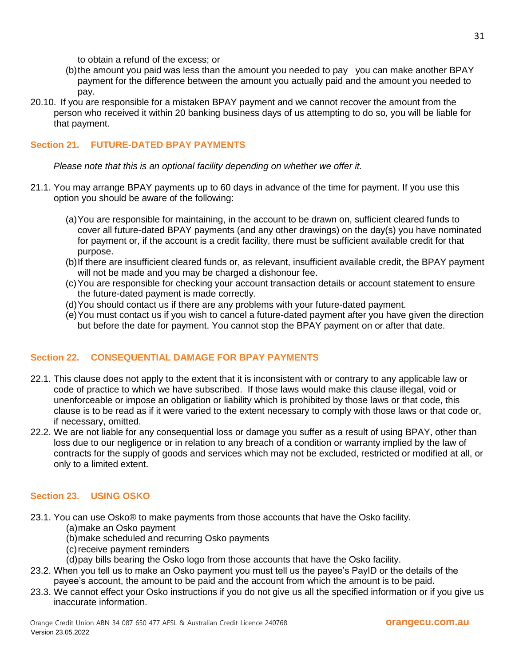to obtain a refund of the excess; or

- (b)the amount you paid was less than the amount you needed to pay you can make another BPAY payment for the difference between the amount you actually paid and the amount you needed to pay.
- 20.10. If you are responsible for a mistaken BPAY payment and we cannot recover the amount from the person who received it within 20 banking business days of us attempting to do so, you will be liable for that payment.

## **Section 21. FUTURE-DATED BPAY PAYMENTS**

*Please note that this is an optional facility depending on whether we offer it.*

- 21.1. You may arrange BPAY payments up to 60 days in advance of the time for payment. If you use this option you should be aware of the following:
	- (a)You are responsible for maintaining, in the account to be drawn on, sufficient cleared funds to cover all future-dated BPAY payments (and any other drawings) on the day(s) you have nominated for payment or, if the account is a credit facility, there must be sufficient available credit for that purpose.
	- (b)If there are insufficient cleared funds or, as relevant, insufficient available credit, the BPAY payment will not be made and you may be charged a dishonour fee.
	- (c)You are responsible for checking your account transaction details or account statement to ensure the future-dated payment is made correctly.
	- (d)You should contact us if there are any problems with your future-dated payment.
	- (e)You must contact us if you wish to cancel a future-dated payment after you have given the direction but before the date for payment. You cannot stop the BPAY payment on or after that date.

## **Section 22. CONSEQUENTIAL DAMAGE FOR BPAY PAYMENTS**

- 22.1. This clause does not apply to the extent that it is inconsistent with or contrary to any applicable law or code of practice to which we have subscribed. If those laws would make this clause illegal, void or unenforceable or impose an obligation or liability which is prohibited by those laws or that code, this clause is to be read as if it were varied to the extent necessary to comply with those laws or that code or, if necessary, omitted.
- 22.2. We are not liable for any consequential loss or damage you suffer as a result of using BPAY, other than loss due to our negligence or in relation to any breach of a condition or warranty implied by the law of contracts for the supply of goods and services which may not be excluded, restricted or modified at all, or only to a limited extent.

#### **Section 23. USING OSKO**

- 23.1. You can use Osko® to make payments from those accounts that have the Osko facility.
	- (a)make an Osko payment
	- (b)make scheduled and recurring Osko payments
	- (c)receive payment reminders
	- (d)pay bills bearing the Osko logo from those accounts that have the Osko facility.
- 23.2. When you tell us to make an Osko payment you must tell us the payee's PayID or the details of the payee's account, the amount to be paid and the account from which the amount is to be paid.
- 23.3. We cannot effect your Osko instructions if you do not give us all the specified information or if you give us inaccurate information.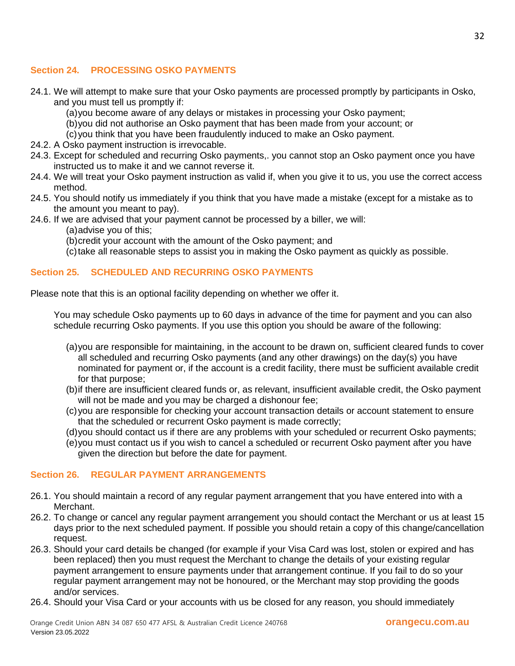## **Section 24. PROCESSING OSKO PAYMENTS**

- 24.1. We will attempt to make sure that your Osko payments are processed promptly by participants in Osko, and you must tell us promptly if:
	- (a)you become aware of any delays or mistakes in processing your Osko payment;
	- (b)you did not authorise an Osko payment that has been made from your account; or
	- (c)you think that you have been fraudulently induced to make an Osko payment.
- 24.2. A Osko payment instruction is irrevocable.
- 24.3. Except for scheduled and recurring Osko payments,. you cannot stop an Osko payment once you have instructed us to make it and we cannot reverse it.
- 24.4. We will treat your Osko payment instruction as valid if, when you give it to us, you use the correct access method.
- 24.5. You should notify us immediately if you think that you have made a mistake (except for a mistake as to the amount you meant to pay).
- 24.6. If we are advised that your payment cannot be processed by a biller, we will:
	- (a)advise you of this;
	- (b)credit your account with the amount of the Osko payment; and
	- (c)take all reasonable steps to assist you in making the Osko payment as quickly as possible.

## **Section 25. SCHEDULED AND RECURRING OSKO PAYMENTS**

Please note that this is an optional facility depending on whether we offer it.

You may schedule Osko payments up to 60 days in advance of the time for payment and you can also schedule recurring Osko payments. If you use this option you should be aware of the following:

- (a)you are responsible for maintaining, in the account to be drawn on, sufficient cleared funds to cover all scheduled and recurring Osko payments (and any other drawings) on the day(s) you have nominated for payment or, if the account is a credit facility, there must be sufficient available credit for that purpose;
- (b)if there are insufficient cleared funds or, as relevant, insufficient available credit, the Osko payment will not be made and you may be charged a dishonour fee;
- (c)you are responsible for checking your account transaction details or account statement to ensure that the scheduled or recurrent Osko payment is made correctly;
- (d)you should contact us if there are any problems with your scheduled or recurrent Osko payments;
- (e)you must contact us if you wish to cancel a scheduled or recurrent Osko payment after you have given the direction but before the date for payment.

#### **Section 26. REGULAR PAYMENT ARRANGEMENTS**

- 26.1. You should maintain a record of any regular payment arrangement that you have entered into with a Merchant.
- 26.2. To change or cancel any regular payment arrangement you should contact the Merchant or us at least 15 days prior to the next scheduled payment. If possible you should retain a copy of this change/cancellation request.
- 26.3. Should your card details be changed (for example if your Visa Card was lost, stolen or expired and has been replaced) then you must request the Merchant to change the details of your existing regular payment arrangement to ensure payments under that arrangement continue. If you fail to do so your regular payment arrangement may not be honoured, or the Merchant may stop providing the goods and/or services.
- 26.4. Should your Visa Card or your accounts with us be closed for any reason, you should immediately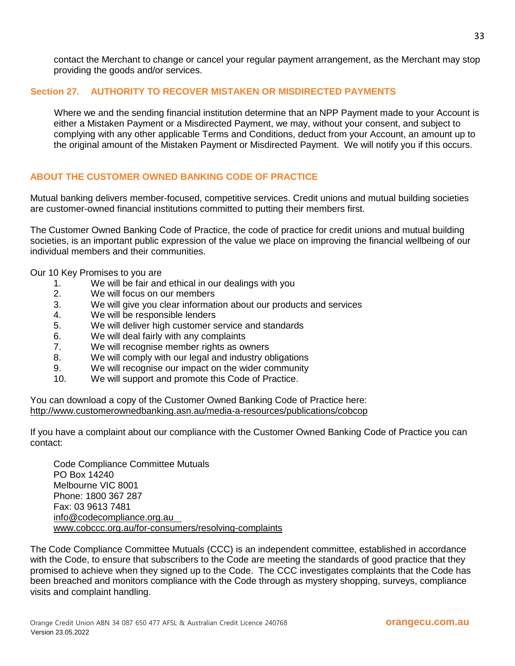contact the Merchant to change or cancel your regular payment arrangement, as the Merchant may stop providing the goods and/or services.

## **Section 27. AUTHORITY TO RECOVER MISTAKEN OR MISDIRECTED PAYMENTS**

Where we and the sending financial institution determine that an NPP Payment made to your Account is either a Mistaken Payment or a Misdirected Payment, we may, without your consent, and subject to complying with any other applicable Terms and Conditions, deduct from your Account, an amount up to the original amount of the Mistaken Payment or Misdirected Payment. We will notify you if this occurs.

## **ABOUT THE CUSTOMER OWNED BANKING CODE OF PRACTICE**

Mutual banking delivers member-focused, competitive services. Credit unions and mutual building societies are customer-owned financial institutions committed to putting their members first.

The Customer Owned Banking Code of Practice, the code of practice for credit unions and mutual building societies, is an important public expression of the value we place on improving the financial wellbeing of our individual members and their communities.

Our 10 Key Promises to you are

- 1. We will be fair and ethical in our dealings with you
- 2. We will focus on our members
- 3. We will give you clear information about our products and services
- 4. We will be responsible lenders
- 5. We will deliver high customer service and standards
- 6. We will deal fairly with any complaints
- 7. We will recognise member rights as owners
- 8. We will comply with our legal and industry obligations
- 9. We will recognise our impact on the wider community
- 10. We will support and promote this Code of Practice.

You can download a copy of the Customer Owned Banking Code of Practice here: <http://www.customerownedbanking.asn.au/media-a-resources/publications/cobcop>

If you have a complaint about our compliance with the Customer Owned Banking Code of Practice you can contact:

Code Compliance Committee Mutuals PO Box 14240 Melbourne VIC 8001 Phone: 1800 367 287 Fax: 03 9613 7481 info@codecompliance.org.au www.cobccc.org.au/for-consumers/resolving-complaints

The Code Compliance Committee Mutuals (CCC) is an independent committee, established in accordance with the Code, to ensure that subscribers to the Code are meeting the standards of good practice that they promised to achieve when they signed up to the Code. The CCC investigates complaints that the Code has been breached and monitors compliance with the Code through as mystery shopping, surveys, compliance visits and complaint handling.